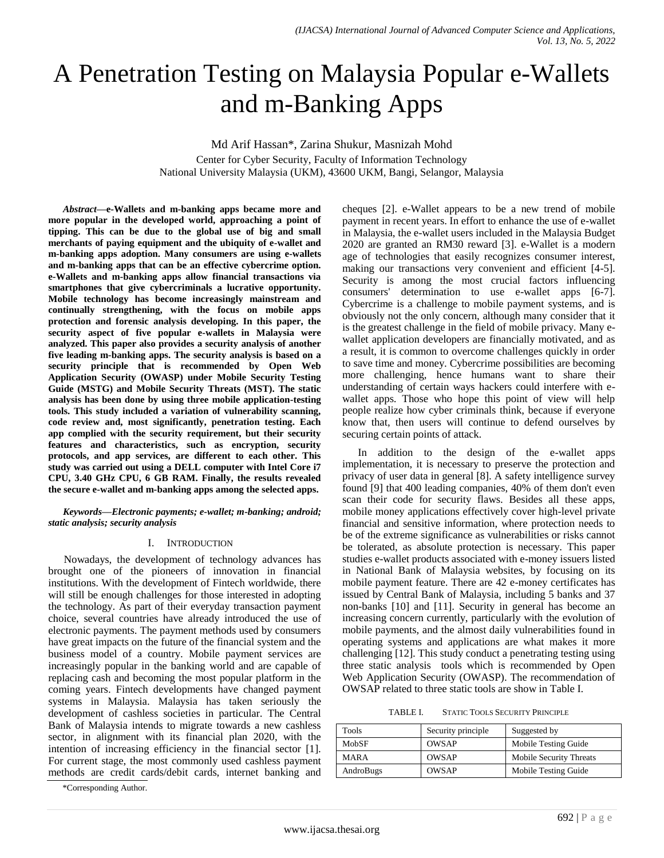# A Penetration Testing on Malaysia Popular e-Wallets and m-Banking Apps

Md Arif Hassan\*, Zarina Shukur, Masnizah Mohd Center for Cyber Security, Faculty of Information Technology National University Malaysia (UKM), 43600 UKM, Bangi, Selangor, Malaysia

*Abstract***—e-Wallets and m-banking apps became more and more popular in the developed world, approaching a point of tipping. This can be due to the global use of big and small merchants of paying equipment and the ubiquity of e-wallet and m-banking apps adoption. Many consumers are using e-wallets and m-banking apps that can be an effective cybercrime option. e-Wallets and m-banking apps allow financial transactions via smartphones that give cybercriminals a lucrative opportunity. Mobile technology has become increasingly mainstream and continually strengthening, with the focus on mobile apps protection and forensic analysis developing. In this paper, the security aspect of five popular e-wallets in Malaysia were analyzed. This paper also provides a security analysis of another five leading m-banking apps. The security analysis is based on a security principle that is recommended by Open Web Application Security (OWASP) under Mobile Security Testing Guide (MSTG) and Mobile Security Threats (MST). The static analysis has been done by using three mobile application-testing tools. This study included a variation of vulnerability scanning, code review and, most significantly, penetration testing. Each app complied with the security requirement, but their security features and characteristics, such as encryption, security protocols, and app services, are different to each other. This study was carried out using a DELL computer with Intel Core i7 CPU, 3.40 GHz CPU, 6 GB RAM. Finally, the results revealed the secure e-wallet and m-banking apps among the selected apps.**

*Keywords—Electronic payments; e-wallet; m-banking; android; static analysis; security analysis*

#### I. INTRODUCTION

Nowadays, the development of technology advances has brought one of the pioneers of innovation in financial institutions. With the development of Fintech worldwide, there will still be enough challenges for those interested in adopting the technology. As part of their everyday transaction payment choice, several countries have already introduced the use of electronic payments. The payment methods used by consumers have great impacts on the future of the financial system and the business model of a country. Mobile payment services are increasingly popular in the banking world and are capable of replacing cash and becoming the most popular platform in the coming years. Fintech developments have changed payment systems in Malaysia. Malaysia has taken seriously the development of cashless societies in particular. The Central Bank of Malaysia intends to migrate towards a new cashless sector, in alignment with its financial plan 2020, with the intention of increasing efficiency in the financial sector [1]. For current stage, the most commonly used cashless payment methods are credit cards/debit cards, internet banking and cheques [2]. e-Wallet appears to be a new trend of mobile payment in recent years. In effort to enhance the use of e-wallet in Malaysia, the e-wallet users included in the Malaysia Budget 2020 are granted an RM30 reward [3]. e-Wallet is a modern age of technologies that easily recognizes consumer interest, making our transactions very convenient and efficient [4-5]. Security is among the most crucial factors influencing consumers' determination to use e-wallet apps [6-7]. Cybercrime is a challenge to mobile payment systems, and is obviously not the only concern, although many consider that it is the greatest challenge in the field of mobile privacy. Many ewallet application developers are financially motivated, and as a result, it is common to overcome challenges quickly in order to save time and money. Cybercrime possibilities are becoming more challenging, hence humans want to share their understanding of certain ways hackers could interfere with ewallet apps. Those who hope this point of view will help people realize how cyber criminals think, because if everyone know that, then users will continue to defend ourselves by securing certain points of attack.

In addition to the design of the e-wallet apps implementation, it is necessary to preserve the protection and privacy of user data in general [8]. A safety intelligence survey found [9] that 400 leading companies, 40% of them don't even scan their code for security flaws. Besides all these apps, mobile money applications effectively cover high-level private financial and sensitive information, where protection needs to be of the extreme significance as vulnerabilities or risks cannot be tolerated, as absolute protection is necessary. This paper studies e-wallet products associated with e-money issuers listed in National Bank of Malaysia websites, by focusing on its mobile payment feature. There are 42 e-money certificates has issued by Central Bank of Malaysia, including 5 banks and 37 non-banks [10] and [11]. Security in general has become an increasing concern currently, particularly with the evolution of mobile payments, and the almost daily vulnerabilities found in operating systems and applications are what makes it more challenging [12]. This study conduct a penetrating testing using three static analysis tools which is recommended by Open Web Application Security (OWASP). The recommendation of OWSAP related to three static tools are show in Table I.

TABLE I. STATIC TOOLS SECURITY PRINCIPLE

| <b>Tools</b> | Security principle | Suggested by            |
|--------------|--------------------|-------------------------|
| MobSF        | <b>OWSAP</b>       | Mobile Testing Guide    |
| <b>MARA</b>  | <b>OWSAP</b>       | Mobile Security Threats |
| AndroBugs    | OWSAP              | Mobile Testing Guide    |
|              |                    |                         |

<sup>\*</sup>Corresponding Author.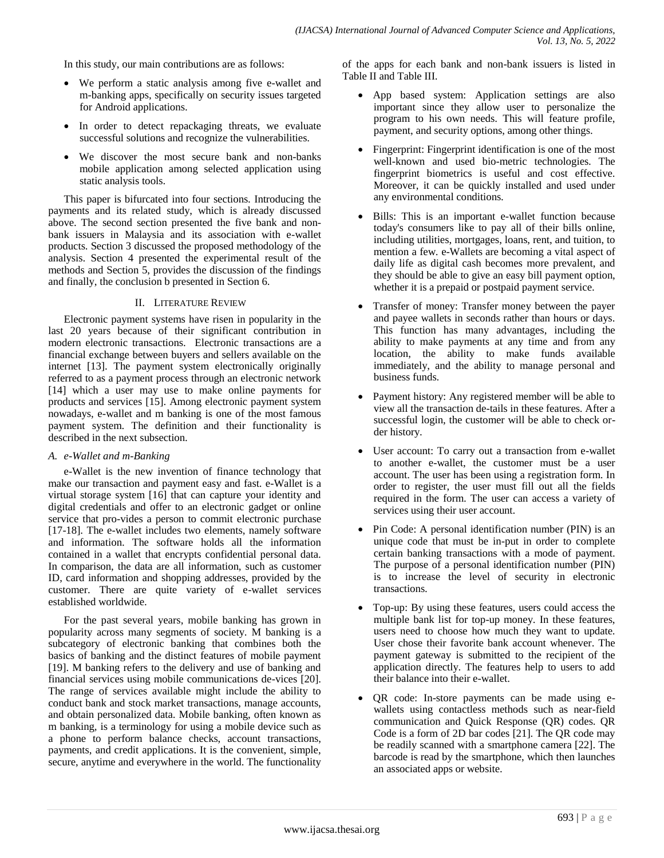In this study, our main contributions are as follows:

- We perform a static analysis among five e-wallet and m-banking apps, specifically on security issues targeted for Android applications.
- In order to detect repackaging threats, we evaluate successful solutions and recognize the vulnerabilities.
- We discover the most secure bank and non-banks mobile application among selected application using static analysis tools.

This paper is bifurcated into four sections. Introducing the payments and its related study, which is already discussed above. The second section presented the five bank and nonbank issuers in Malaysia and its association with e-wallet products. Section 3 discussed the proposed methodology of the analysis. Section 4 presented the experimental result of the methods and Section 5, provides the discussion of the findings and finally, the conclusion b presented in Section 6.

## II. LITERATURE REVIEW

Electronic payment systems have risen in popularity in the last 20 years because of their significant contribution in modern electronic transactions. Electronic transactions are a financial exchange between buyers and sellers available on the internet [13]. The payment system electronically originally referred to as a payment process through an electronic network [14] which a user may use to make online payments for products and services [15]. Among electronic payment system nowadays, e-wallet and m banking is one of the most famous payment system. The definition and their functionality is described in the next subsection.

# *A. e-Wallet and m-Banking*

e-Wallet is the new invention of finance technology that make our transaction and payment easy and fast. e-Wallet is a virtual storage system [16] that can capture your identity and digital credentials and offer to an electronic gadget or online service that pro-vides a person to commit electronic purchase [17-18]. The e-wallet includes two elements, namely software and information. The software holds all the information contained in a wallet that encrypts confidential personal data. In comparison, the data are all information, such as customer ID, card information and shopping addresses, provided by the customer. There are quite variety of e-wallet services established worldwide.

For the past several years, mobile banking has grown in popularity across many segments of society. M banking is a subcategory of electronic banking that combines both the basics of banking and the distinct features of mobile payment [19]. M banking refers to the delivery and use of banking and financial services using mobile communications de-vices [20]. The range of services available might include the ability to conduct bank and stock market transactions, manage accounts, and obtain personalized data. Mobile banking, often known as m banking, is a terminology for using a mobile device such as a phone to perform balance checks, account transactions, payments, and credit applications. It is the convenient, simple, secure, anytime and everywhere in the world. The functionality of the apps for each bank and non-bank issuers is listed in Table II and Table III.

- App based system: Application settings are also important since they allow user to personalize the program to his own needs. This will feature profile, payment, and security options, among other things.
- Fingerprint: Fingerprint identification is one of the most well-known and used bio-metric technologies. The fingerprint biometrics is useful and cost effective. Moreover, it can be quickly installed and used under any environmental conditions.
- Bills: This is an important e-wallet function because today's consumers like to pay all of their bills online, including utilities, mortgages, loans, rent, and tuition, to mention a few. e-Wallets are becoming a vital aspect of daily life as digital cash becomes more prevalent, and they should be able to give an easy bill payment option, whether it is a prepaid or postpaid payment service.
- Transfer of money: Transfer money between the payer and payee wallets in seconds rather than hours or days. This function has many advantages, including the ability to make payments at any time and from any location, the ability to make funds available immediately, and the ability to manage personal and business funds.
- Payment history: Any registered member will be able to view all the transaction de-tails in these features. After a successful login, the customer will be able to check order history.
- User account: To carry out a transaction from e-wallet to another e-wallet, the customer must be a user account. The user has been using a registration form. In order to register, the user must fill out all the fields required in the form. The user can access a variety of services using their user account.
- Pin Code: A personal identification number (PIN) is an unique code that must be in-put in order to complete certain banking transactions with a mode of payment. The purpose of a personal identification number (PIN) is to increase the level of security in electronic transactions.
- Top-up: By using these features, users could access the multiple bank list for top-up money. In these features, users need to choose how much they want to update. User chose their favorite bank account whenever. The payment gateway is submitted to the recipient of the application directly. The features help to users to add their balance into their e-wallet.
- QR code: In-store payments can be made using ewallets using contactless methods such as near-field communication and Quick Response (QR) codes. QR Code is a form of 2D bar codes [21]. The QR code may be readily scanned with a smartphone camera [22]. The barcode is read by the smartphone, which then launches an associated apps or website.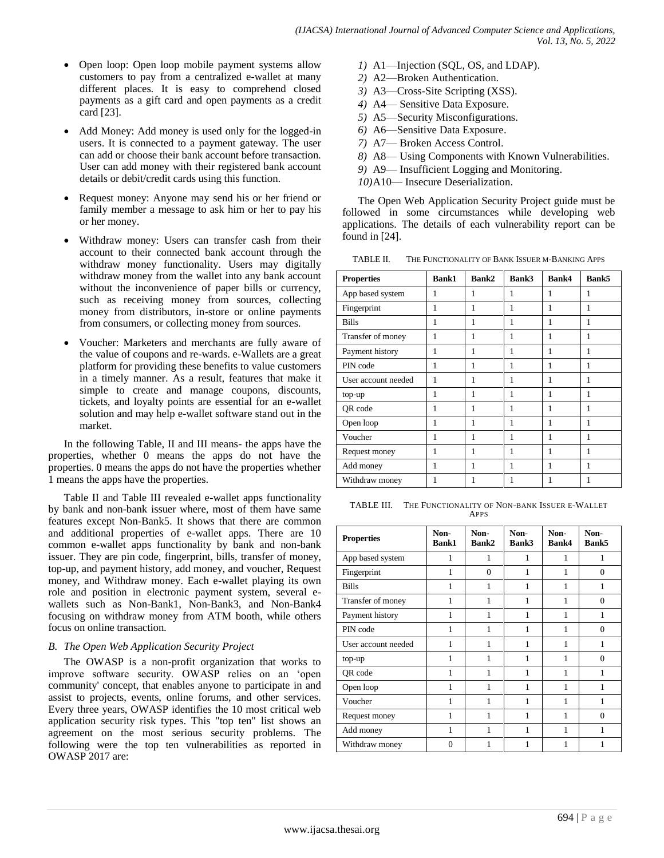- Open loop: Open loop mobile payment systems allow customers to pay from a centralized e-wallet at many different places. It is easy to comprehend closed payments as a gift card and open payments as a credit card [23].
- Add Money: Add money is used only for the logged-in users. It is connected to a payment gateway. The user can add or choose their bank account before transaction. User can add money with their registered bank account details or debit/credit cards using this function.
- Request money: Anyone may send his or her friend or family member a message to ask him or her to pay his or her money.
- Withdraw money: Users can transfer cash from their account to their connected bank account through the withdraw money functionality. Users may digitally withdraw money from the wallet into any bank account without the inconvenience of paper bills or currency, such as receiving money from sources, collecting money from distributors, in-store or online payments from consumers, or collecting money from sources.
- Voucher: Marketers and merchants are fully aware of the value of coupons and re-wards. e-Wallets are a great platform for providing these benefits to value customers in a timely manner. As a result, features that make it simple to create and manage coupons, discounts, tickets, and loyalty points are essential for an e-wallet solution and may help e-wallet software stand out in the market.

In the following Table, II and III means- the apps have the properties, whether 0 means the apps do not have the properties. 0 means the apps do not have the properties whether 1 means the apps have the properties.

Table II and Table III revealed e-wallet apps functionality by bank and non-bank issuer where, most of them have same features except Non-Bank5. It shows that there are common and additional properties of e-wallet apps. There are 10 common e-wallet apps functionality by bank and non-bank issuer. They are pin code, fingerprint, bills, transfer of money, top-up, and payment history, add money, and voucher, Request money, and Withdraw money. Each e-wallet playing its own role and position in electronic payment system, several ewallets such as Non-Bank1, Non-Bank3, and Non-Bank4 focusing on withdraw money from ATM booth, while others focus on online transaction.

# *B. The Open Web Application Security Project*

The OWASP is a non-profit organization that works to improve software security. OWASP relies on an 'open community' concept, that enables anyone to participate in and assist to projects, events, online forums, and other services. Every three years, OWASP identifies the 10 most critical web application security risk types. This "top ten" list shows an agreement on the most serious security problems. The following were the top ten vulnerabilities as reported in OWASP 2017 are:

- *1)* A1—Injection (SQL, OS, and LDAP).
- *2)* A2—Broken Authentication.
- *3)* A3—Cross-Site Scripting (XSS).
- *4)* A4— Sensitive Data Exposure.
- *5)* A5—Security Misconfigurations.
- *6)* A6—Sensitive Data Exposure.
- *7)* A7— Broken Access Control.
- *8)* A8— Using Components with Known Vulnerabilities.
- *9)* A9— Insufficient Logging and Monitoring.
- *10)*A10— Insecure Deserialization.

The Open Web Application Security Project guide must be followed in some circumstances while developing web applications. The details of each vulnerability report can be found in [24].

TABLE II. THE FUNCTIONALITY OF BANK ISSUER M-BANKING APPS

| <b>Properties</b>   | <b>Bank1</b> | Bank2 | Bank3 | <b>Bank4</b> | Bank5 |
|---------------------|--------------|-------|-------|--------------|-------|
| App based system    | 1            | 1     | 1     | 1            | 1     |
| Fingerprint         | 1            | 1     | 1     | 1            | 1     |
| Bills               | 1            | 1     | 1     | 1            | 1     |
| Transfer of money   | 1            | 1     | 1     | 1            | 1     |
| Payment history     | 1            | 1     | 1     | 1            | 1     |
| PIN code            | 1            | 1     | 1     | 1            | 1     |
| User account needed | 1            | 1     | 1     | 1            | 1     |
| top-up              |              |       |       |              |       |
| QR code             | 1            | 1     | 1     | 1            | 1     |
| Open loop           |              |       |       |              |       |
| Voucher             | 1            | 1     | 1     | 1            | 1     |
| Request money       |              |       |       |              |       |
| Add money           | 1            | 1     | 1     | 1            | 1     |
| Withdraw money      |              |       |       |              |       |

TABLE III. THE FUNCTIONALITY OF NON-BANK ISSUER E-WALLET APPS

| <b>Properties</b>   | Non-<br><b>Bank1</b> | Non-<br>Bank2 | Non-<br>Bank3 | Non-<br>Bank4 | Non-<br>Bank5 |
|---------------------|----------------------|---------------|---------------|---------------|---------------|
| App based system    | 1                    | 1             | 1             | 1             | 1             |
| Fingerprint         |                      | $\Omega$      | 1             |               | $\Omega$      |
| <b>Bills</b>        |                      |               |               |               |               |
| Transfer of money   |                      |               |               | 1             | $\Omega$      |
| Payment history     |                      | 1             |               |               | 1             |
| PIN code            |                      |               |               |               | $\Omega$      |
| User account needed |                      |               |               |               |               |
| top-up              |                      | 1             |               | 1             | $\Omega$      |
| QR code             |                      |               |               |               |               |
| Open loop           |                      |               |               |               |               |
| Voucher             | 1                    | 1             | 1             | 1             | 1             |
| Request money       |                      |               |               |               | $\theta$      |
| Add money           |                      |               |               |               |               |
| Withdraw money      | $\Omega$             |               |               |               |               |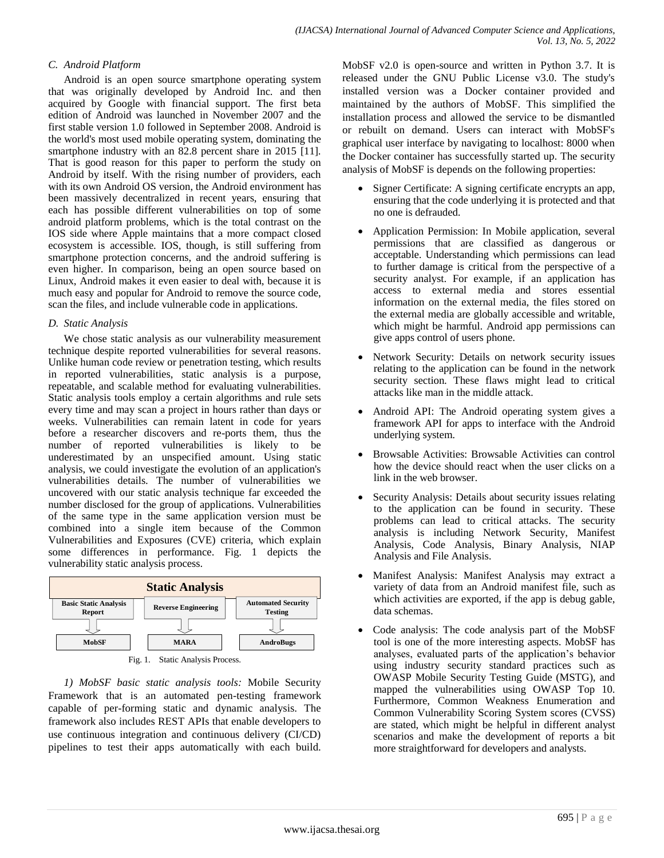## *C. Android Platform*

Android is an open source smartphone operating system that was originally developed by Android Inc. and then acquired by Google with financial support. The first beta edition of Android was launched in November 2007 and the first stable version 1.0 followed in September 2008. Android is the world's most used mobile operating system, dominating the smartphone industry with an 82.8 percent share in 2015 [11]. That is good reason for this paper to perform the study on Android by itself. With the rising number of providers, each with its own Android OS version, the Android environment has been massively decentralized in recent years, ensuring that each has possible different vulnerabilities on top of some android platform problems, which is the total contrast on the IOS side where Apple maintains that a more compact closed ecosystem is accessible. IOS, though, is still suffering from smartphone protection concerns, and the android suffering is even higher. In comparison, being an open source based on Linux, Android makes it even easier to deal with, because it is much easy and popular for Android to remove the source code, scan the files, and include vulnerable code in applications.

## *D. Static Analysis*

We chose static analysis as our vulnerability measurement technique despite reported vulnerabilities for several reasons. Unlike human code review or penetration testing, which results in reported vulnerabilities, static analysis is a purpose, repeatable, and scalable method for evaluating vulnerabilities. Static analysis tools employ a certain algorithms and rule sets every time and may scan a project in hours rather than days or weeks. Vulnerabilities can remain latent in code for years before a researcher discovers and re-ports them, thus the number of reported vulnerabilities is likely to be underestimated by an unspecified amount. Using static analysis, we could investigate the evolution of an application's vulnerabilities details. The number of vulnerabilities we uncovered with our static analysis technique far exceeded the number disclosed for the group of applications. Vulnerabilities of the same type in the same application version must be combined into a single item because of the Common Vulnerabilities and Exposures (CVE) criteria, which explain some differences in performance. Fig. 1 depicts the vulnerability static analysis process.





*1) MobSF basic static analysis tools:* Mobile Security Framework that is an automated pen-testing framework capable of per-forming static and dynamic analysis. The framework also includes REST APIs that enable developers to use continuous integration and continuous delivery (CI/CD) pipelines to test their apps automatically with each build. MobSF v2.0 is open-source and written in Python 3.7. It is released under the GNU Public License v3.0. The study's installed version was a Docker container provided and maintained by the authors of MobSF. This simplified the installation process and allowed the service to be dismantled or rebuilt on demand. Users can interact with MobSF's graphical user interface by navigating to localhost: 8000 when the Docker container has successfully started up. The security analysis of MobSF is depends on the following properties:

- Signer Certificate: A signing certificate encrypts an app, ensuring that the code underlying it is protected and that no one is defrauded.
- Application Permission: In Mobile application, several permissions that are classified as dangerous or acceptable. Understanding which permissions can lead to further damage is critical from the perspective of a security analyst. For example, if an application has access to external media and stores essential information on the external media, the files stored on the external media are globally accessible and writable, which might be harmful. Android app permissions can give apps control of users phone.
- Network Security: Details on network security issues relating to the application can be found in the network security section. These flaws might lead to critical attacks like man in the middle attack.
- Android API: The Android operating system gives a framework API for apps to interface with the Android underlying system.
- Browsable Activities: Browsable Activities can control how the device should react when the user clicks on a link in the web browser.
- Security Analysis: Details about security issues relating to the application can be found in security. These problems can lead to critical attacks. The security analysis is including Network Security, Manifest Analysis, Code Analysis, Binary Analysis, NIAP Analysis and File Analysis.
- Manifest Analysis: Manifest Analysis may extract a variety of data from an Android manifest file, such as which activities are exported, if the app is debug gable, data schemas.
- Code analysis: The code analysis part of the MobSF tool is one of the more interesting aspects. MobSF has analyses, evaluated parts of the application's behavior using industry security standard practices such as OWASP Mobile Security Testing Guide (MSTG), and mapped the vulnerabilities using OWASP Top 10. Furthermore, Common Weakness Enumeration and Common Vulnerability Scoring System scores (CVSS) are stated, which might be helpful in different analyst scenarios and make the development of reports a bit more straightforward for developers and analysts.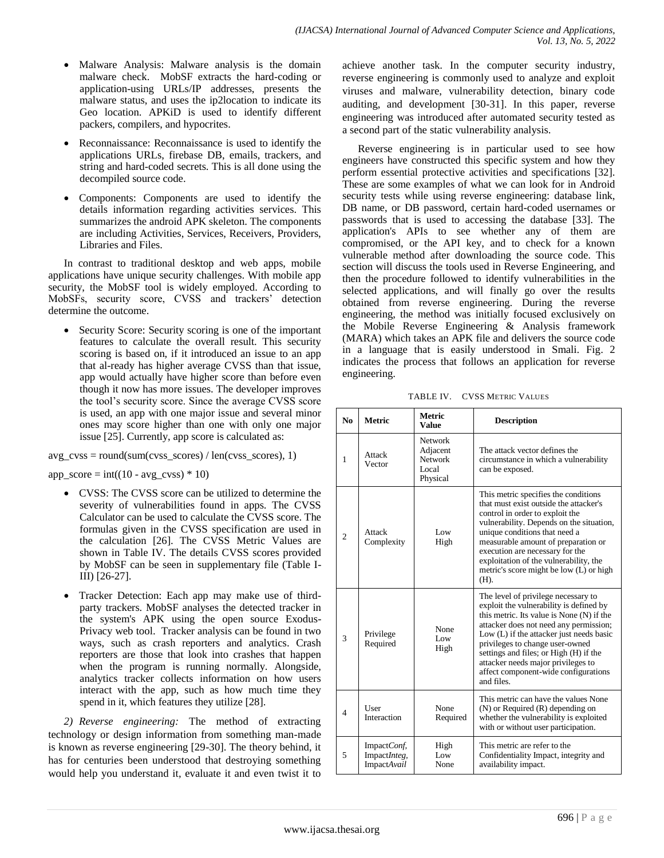- Malware Analysis: Malware analysis is the domain malware check. MobSF extracts the hard-coding or application-using URLs/IP addresses, presents the malware status, and uses the ip2location to indicate its Geo location. APKiD is used to identify different packers, compilers, and hypocrites.
- Reconnaissance: Reconnaissance is used to identify the applications URLs, firebase DB, emails, trackers, and string and hard-coded secrets. This is all done using the decompiled source code.
- Components: Components are used to identify the details information regarding activities services. This summarizes the android APK skeleton. The components are including Activities, Services, Receivers, Providers, Libraries and Files.

In contrast to traditional desktop and web apps, mobile applications have unique security challenges. With mobile app security, the MobSF tool is widely employed. According to MobSFs, security score, CVSS and trackers' detection determine the outcome.

 Security Score: Security scoring is one of the important features to calculate the overall result. This security scoring is based on, if it introduced an issue to an app that al-ready has higher average CVSS than that issue, app would actually have higher score than before even though it now has more issues. The developer improves the tool's security score. Since the average CVSS score is used, an app with one major issue and several minor ones may score higher than one with only one major issue [25]. Currently, app score is calculated as:

avg\_cvss = round(sum(cvss\_scores) / len(cvss\_scores), 1)

 $app\_score = int((10 - avg\_cvss) * 10)$ 

- CVSS: The CVSS score can be utilized to determine the severity of vulnerabilities found in apps. The CVSS Calculator can be used to calculate the CVSS score. The formulas given in the CVSS specification are used in the calculation [26]. The CVSS Metric Values are shown in Table IV. The details CVSS scores provided by MobSF can be seen in supplementary file (Table I-III) [26-27].
- Tracker Detection: Each app may make use of thirdparty trackers. MobSF analyses the detected tracker in the system's APK using the open source Exodus-Privacy web tool. Tracker analysis can be found in two ways, such as crash reporters and analytics. Crash reporters are those that look into crashes that happen when the program is running normally. Alongside, analytics tracker collects information on how users interact with the app, such as how much time they spend in it, which features they utilize [28].

*2) Reverse engineering:* The method of extracting technology or design information from something man-made is known as reverse engineering [29-30]. The theory behind, it has for centuries been understood that destroying something would help you understand it, evaluate it and even twist it to

achieve another task. In the computer security industry, reverse engineering is commonly used to analyze and exploit viruses and malware, vulnerability detection, binary code auditing, and development [30-31]. In this paper, reverse engineering was introduced after automated security tested as a second part of the static vulnerability analysis.

Reverse engineering is in particular used to see how engineers have constructed this specific system and how they perform essential protective activities and specifications [32]. These are some examples of what we can look for in Android security tests while using reverse engineering: database link, DB name, or DB password, certain hard-coded usernames or passwords that is used to accessing the database [33]. The application's APIs to see whether any of them are compromised, or the API key, and to check for a known vulnerable method after downloading the source code. This section will discuss the tools used in Reverse Engineering, and then the procedure followed to identify vulnerabilities in the selected applications, and will finally go over the results obtained from reverse engineering. During the reverse engineering, the method was initially focused exclusively on the Mobile Reverse Engineering & Analysis framework (MARA) which takes an APK file and delivers the source code in a language that is easily understood in Smali. Fig. 2 indicates the process that follows an application for reverse engineering.

| N <sub>0</sub> | <b>Metric</b>                              | <b>Metric</b><br>Value                                            | <b>Description</b>                                                                                                                                                                                                                                                                                                                                                                         |
|----------------|--------------------------------------------|-------------------------------------------------------------------|--------------------------------------------------------------------------------------------------------------------------------------------------------------------------------------------------------------------------------------------------------------------------------------------------------------------------------------------------------------------------------------------|
| 1              | Attack<br>Vector                           | <b>Network</b><br>Adjacent<br><b>Network</b><br>Local<br>Physical | The attack vector defines the<br>circumstance in which a vulnerability<br>can be exposed.                                                                                                                                                                                                                                                                                                  |
| $\overline{c}$ | Attack<br>Complexity                       | Low<br>High                                                       | This metric specifies the conditions<br>that must exist outside the attacker's<br>control in order to exploit the<br>vulnerability. Depends on the situation,<br>unique conditions that need a<br>measurable amount of preparation or<br>execution are necessary for the<br>exploitation of the vulnerability, the<br>metric's score might be low (L) or high<br>(H).                      |
| 3              | Privilege<br>Required                      | None<br>Low<br>High                                               | The level of privilege necessary to<br>exploit the vulnerability is defined by<br>this metric. Its value is None (N) if the<br>attacker does not need any permission;<br>Low (L) if the attacker just needs basic<br>privileges to change user-owned<br>settings and files; or High (H) if the<br>attacker needs major privileges to<br>affect component-wide configurations<br>and files. |
| 4              | <b>User</b><br>Interaction                 | None<br>Required                                                  | This metric can have the values None<br>$(N)$ or Required $(R)$ depending on<br>whether the vulnerability is exploited<br>with or without user participation.                                                                                                                                                                                                                              |
| 5              | ImpactConf,<br>ImpactInteg,<br>ImpactAvail | High<br>Low<br>None                                               | This metric are refer to the<br>Confidentiality Impact, integrity and<br>availability impact.                                                                                                                                                                                                                                                                                              |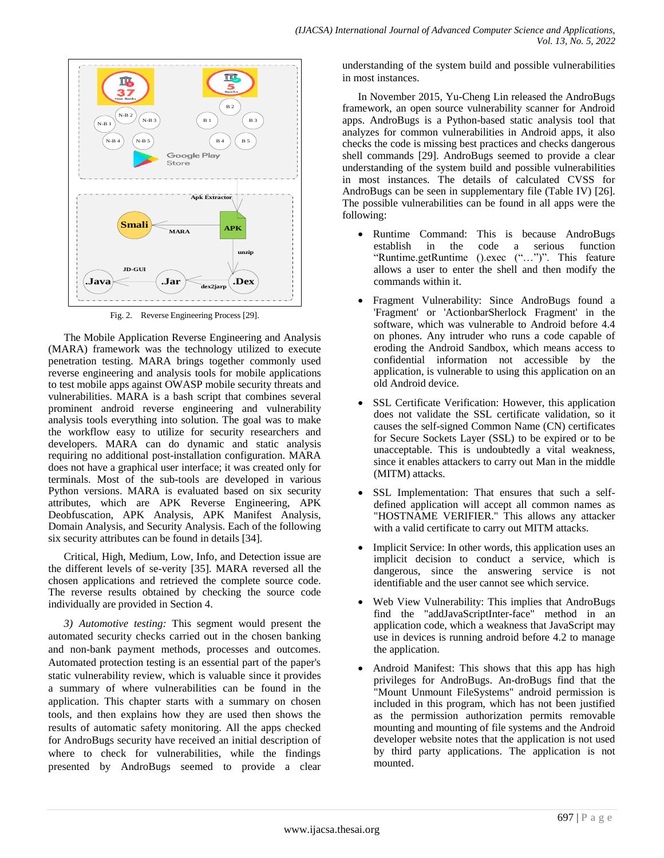

Fig. 2. Reverse Engineering Process [29].

The Mobile Application Reverse Engineering and Analysis (MARA) framework was the technology utilized to execute penetration testing. MARA brings together commonly used reverse engineering and analysis tools for mobile applications to test mobile apps against OWASP mobile security threats and vulnerabilities. MARA is a bash script that combines several prominent android reverse engineering and vulnerability analysis tools everything into solution. The goal was to make the workflow easy to utilize for security researchers and developers. MARA can do dynamic and static analysis requiring no additional post-installation configuration. MARA does not have a graphical user interface; it was created only for terminals. Most of the sub-tools are developed in various Python versions. MARA is evaluated based on six security attributes, which are APK Reverse Engineering, APK Deobfuscation, APK Analysis, APK Manifest Analysis, Domain Analysis, and Security Analysis. Each of the following six security attributes can be found in details [34].

Critical, High, Medium, Low, Info, and Detection issue are the different levels of se-verity [35]. MARA reversed all the chosen applications and retrieved the complete source code. The reverse results obtained by checking the source code individually are provided in Section 4.

*3) Automotive testing:* This segment would present the automated security checks carried out in the chosen banking and non-bank payment methods, processes and outcomes. Automated protection testing is an essential part of the paper's static vulnerability review, which is valuable since it provides a summary of where vulnerabilities can be found in the application. This chapter starts with a summary on chosen tools, and then explains how they are used then shows the results of automatic safety monitoring. All the apps checked for AndroBugs security have received an initial description of where to check for vulnerabilities, while the findings presented by AndroBugs seemed to provide a clear

understanding of the system build and possible vulnerabilities in most instances.

In November 2015, Yu-Cheng Lin released the AndroBugs framework, an open source vulnerability scanner for Android apps. AndroBugs is a Python-based static analysis tool that analyzes for common vulnerabilities in Android apps, it also checks the code is missing best practices and checks dangerous shell commands [29]. AndroBugs seemed to provide a clear understanding of the system build and possible vulnerabilities in most instances. The details of calculated CVSS for AndroBugs can be seen in supplementary file (Table IV) [26]. The possible vulnerabilities can be found in all apps were the following:

- Runtime Command: This is because AndroBugs establish in the code a serious function "Runtime.getRuntime ().exec ("...")". This feature allows a user to enter the shell and then modify the commands within it.
- Fragment Vulnerability: Since AndroBugs found a 'Fragment' or 'ActionbarSherlock Fragment' in the software, which was vulnerable to Android before 4.4 on phones. Any intruder who runs a code capable of eroding the Android Sandbox, which means access to confidential information not accessible by the application, is vulnerable to using this application on an old Android device.
- SSL Certificate Verification: However, this application does not validate the SSL certificate validation, so it causes the self-signed Common Name (CN) certificates for Secure Sockets Layer (SSL) to be expired or to be unacceptable. This is undoubtedly a vital weakness, since it enables attackers to carry out Man in the middle (MITM) attacks.
- SSL Implementation: That ensures that such a selfdefined application will accept all common names as "HOSTNAME VERIFIER." This allows any attacker with a valid certificate to carry out MITM attacks.
- Implicit Service: In other words, this application uses an implicit decision to conduct a service, which is dangerous, since the answering service is not identifiable and the user cannot see which service.
- Web View Vulnerability: This implies that AndroBugs find the "addJavaScriptInter-face" method in an application code, which a weakness that JavaScript may use in devices is running android before 4.2 to manage the application.
- Android Manifest: This shows that this app has high privileges for AndroBugs. An-droBugs find that the "Mount Unmount FileSystems" android permission is included in this program, which has not been justified as the permission authorization permits removable mounting and mounting of file systems and the Android developer website notes that the application is not used by third party applications. The application is not mounted.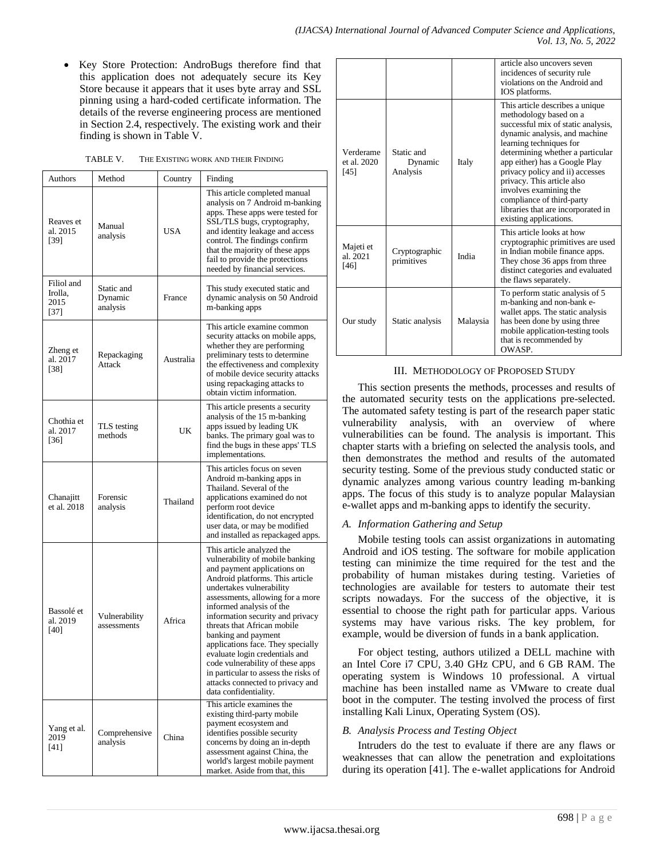Key Store Protection: AndroBugs therefore find that this application does not adequately secure its Key Store because it appears that it uses byte array and SSL pinning using a hard-coded certificate information. The details of the reverse engineering process are mentioned in Section 2.4, respectively. The existing work and their finding is shown in Table V.

| TABLE V. | THE EXISTING WORK AND THEIR FINDING |  |
|----------|-------------------------------------|--|
|          |                                     |  |

| Authors                                 | Method                            | Country    | Finding                                                                                                                                                                                                                                                                                                                                                                                                                                                                                                                              |
|-----------------------------------------|-----------------------------------|------------|--------------------------------------------------------------------------------------------------------------------------------------------------------------------------------------------------------------------------------------------------------------------------------------------------------------------------------------------------------------------------------------------------------------------------------------------------------------------------------------------------------------------------------------|
| Reaves et<br>al. 2015<br>[39]           | Manual<br>analysis                | <b>USA</b> | This article completed manual<br>analysis on 7 Android m-banking<br>apps. These apps were tested for<br>SSL/TLS bugs, cryptography,<br>and identity leakage and access<br>control. The findings confirm<br>that the majority of these apps<br>fail to provide the protections<br>needed by financial services.                                                                                                                                                                                                                       |
| Filiol and<br>Irolla,<br>2015<br>$[37]$ | Static and<br>Dynamic<br>analysis | France     | This study executed static and<br>dynamic analysis on 50 Android<br>m-banking apps                                                                                                                                                                                                                                                                                                                                                                                                                                                   |
| Zheng et<br>al. 2017<br>[38]            | Repackaging<br>Attack             | Australia  | This article examine common<br>security attacks on mobile apps,<br>whether they are performing<br>preliminary tests to determine<br>the effectiveness and complexity<br>of mobile device security attacks<br>using repackaging attacks to<br>obtain victim information.                                                                                                                                                                                                                                                              |
| Chothia et<br>al. 2017<br>$[36]$        | TLS testing<br>methods            | UK         | This article presents a security<br>analysis of the 15 m-banking<br>apps issued by leading UK<br>banks. The primary goal was to<br>find the bugs in these apps' TLS<br>implementations.                                                                                                                                                                                                                                                                                                                                              |
| Chanajitt<br>et al. 2018                | Forensic<br>analysis              | Thailand   | This articles focus on seven<br>Android m-banking apps in<br>Thailand. Several of the<br>applications examined do not<br>perform root device<br>identification, do not encrypted<br>user data, or may be modified<br>and installed as repackaged apps.                                                                                                                                                                                                                                                                               |
| Bassolé et<br>al. 2019<br>[40]          | Vulnerability<br>assessments      | Africa     | This article analyzed the<br>vulnerability of mobile banking<br>and payment applications on<br>Android platforms. This article<br>undertakes vulnerability<br>assessments, allowing for a more<br>informed analysis of the<br>information security and privacy<br>threats that African mobile<br>banking and payment<br>applications face. They specially<br>evaluate login credentials and<br>code vulnerability of these apps<br>in particular to assess the risks of<br>attacks connected to privacy and<br>data confidentiality. |
| Yang et al.<br>2019<br>[41]             | Comprehensive<br>analysis         | China      | This article examines the<br>existing third-party mobile<br>payment ecosystem and<br>identifies possible security<br>concerns by doing an in-depth<br>assessment against China, the<br>world's largest mobile payment<br>market. Aside from that, this                                                                                                                                                                                                                                                                               |

|                                  |                                   |          | article also uncovers seven<br>incidences of security rule<br>violations on the Android and<br>IOS platforms.                                                                                                                                                                                                                                                                                                            |
|----------------------------------|-----------------------------------|----------|--------------------------------------------------------------------------------------------------------------------------------------------------------------------------------------------------------------------------------------------------------------------------------------------------------------------------------------------------------------------------------------------------------------------------|
| Verderame<br>et al. 2020<br>[45] | Static and<br>Dynamic<br>Analysis | Italy    | This article describes a unique<br>methodology based on a<br>successful mix of static analysis,<br>dynamic analysis, and machine<br>learning techniques for<br>determining whether a particular<br>app either) has a Google Play<br>privacy policy and ii) accesses<br>privacy. This article also<br>involves examining the<br>compliance of third-party<br>libraries that are incorporated in<br>existing applications. |
| Majeti et<br>al. 2021<br>[46]    | Cryptographic<br>primitives       | India    | This article looks at how<br>cryptographic primitives are used<br>in Indian mobile finance apps.<br>They chose 36 apps from three<br>distinct categories and evaluated<br>the flaws separately.                                                                                                                                                                                                                          |
| Our study                        | Static analysis                   | Malaysia | To perform static analysis of 5<br>m-banking and non-bank e-<br>wallet apps. The static analysis<br>has been done by using three<br>mobile application-testing tools<br>that is recommended by<br>OWASP.                                                                                                                                                                                                                 |

### III. METHODOLOGY OF PROPOSED STUDY

This section presents the methods, processes and results of the automated security tests on the applications pre-selected. The automated safety testing is part of the research paper static vulnerability analysis, with an overview of where vulnerabilities can be found. The analysis is important. This chapter starts with a briefing on selected the analysis tools, and then demonstrates the method and results of the automated security testing. Some of the previous study conducted static or dynamic analyzes among various country leading m-banking apps. The focus of this study is to analyze popular Malaysian e-wallet apps and m-banking apps to identify the security.

## *A. Information Gathering and Setup*

Mobile testing tools can assist organizations in automating Android and iOS testing. The software for mobile application testing can minimize the time required for the test and the probability of human mistakes during testing. Varieties of technologies are available for testers to automate their test scripts nowadays. For the success of the objective, it is essential to choose the right path for particular apps. Various systems may have various risks. The key problem, for example, would be diversion of funds in a bank application.

For object testing, authors utilized a DELL machine with an Intel Core i7 CPU, 3.40 GHz CPU, and 6 GB RAM. The operating system is Windows 10 professional. A virtual machine has been installed name as VMware to create dual boot in the computer. The testing involved the process of first installing Kali Linux, Operating System (OS).

## *B. Analysis Process and Testing Object*

Intruders do the test to evaluate if there are any flaws or weaknesses that can allow the penetration and exploitations during its operation [41]. The e-wallet applications for Android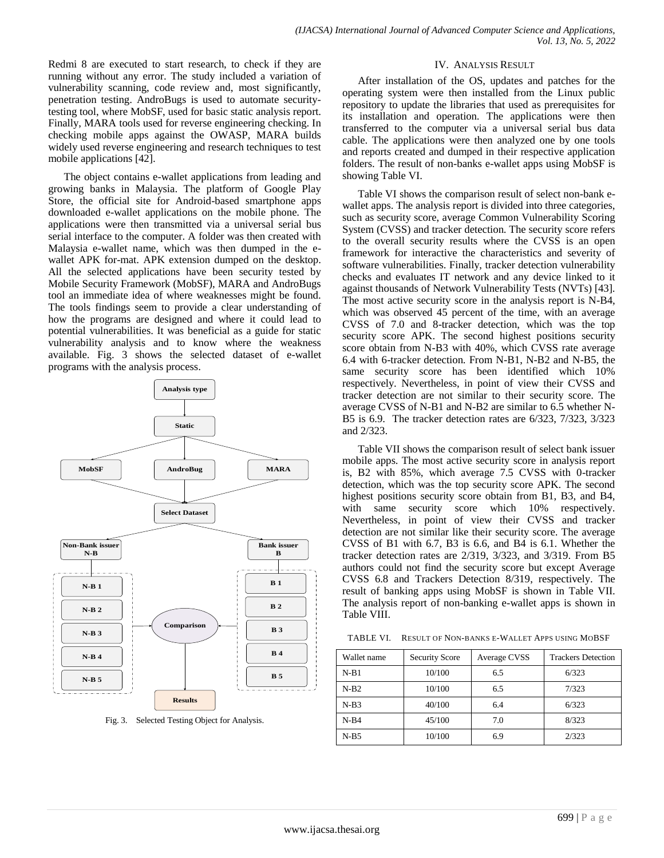Redmi 8 are executed to start research, to check if they are running without any error. The study included a variation of vulnerability scanning, code review and, most significantly, penetration testing. AndroBugs is used to automate securitytesting tool, where MobSF, used for basic static analysis report. Finally, MARA tools used for reverse engineering checking. In checking mobile apps against the OWASP, MARA builds widely used reverse engineering and research techniques to test mobile applications [42].

The object contains e-wallet applications from leading and growing banks in Malaysia. The platform of Google Play Store, the official site for Android-based smartphone apps downloaded e-wallet applications on the mobile phone. The applications were then transmitted via a universal serial bus serial interface to the computer. A folder was then created with Malaysia e-wallet name, which was then dumped in the ewallet APK for-mat. APK extension dumped on the desktop. All the selected applications have been security tested by Mobile Security Framework (MobSF), MARA and AndroBugs tool an immediate idea of where weaknesses might be found. The tools findings seem to provide a clear understanding of how the programs are designed and where it could lead to potential vulnerabilities. It was beneficial as a guide for static vulnerability analysis and to know where the weakness available. Fig. 3 shows the selected dataset of e-wallet programs with the analysis process.



Fig. 3. Selected Testing Object for Analysis.

#### IV. ANALYSIS RESULT

After installation of the OS, updates and patches for the operating system were then installed from the Linux public repository to update the libraries that used as prerequisites for its installation and operation. The applications were then transferred to the computer via a universal serial bus data cable. The applications were then analyzed one by one tools and reports created and dumped in their respective application folders. The result of non-banks e-wallet apps using MobSF is showing Table VI.

Table VI shows the comparison result of select non-bank ewallet apps. The analysis report is divided into three categories, such as security score, average Common Vulnerability Scoring System (CVSS) and tracker detection. The security score refers to the overall security results where the CVSS is an open framework for interactive the characteristics and severity of software vulnerabilities. Finally, tracker detection vulnerability checks and evaluates IT network and any device linked to it against thousands of Network Vulnerability Tests (NVTs) [43]. The most active security score in the analysis report is N-B4, which was observed 45 percent of the time, with an average CVSS of 7.0 and 8-tracker detection, which was the top security score APK. The second highest positions security score obtain from N-B3 with 40%, which CVSS rate average 6.4 with 6-tracker detection. From N-B1, N-B2 and N-B5, the same security score has been identified which 10% respectively. Nevertheless, in point of view their CVSS and tracker detection are not similar to their security score. The average CVSS of N-B1 and N-B2 are similar to 6.5 whether N-B5 is 6.9. The tracker detection rates are 6/323, 7/323, 3/323 and 2/323.

Table VII shows the comparison result of select bank issuer mobile apps. The most active security score in analysis report is, B2 with 85%, which average 7.5 CVSS with 0-tracker detection, which was the top security score APK. The second highest positions security score obtain from B1, B3, and B4, with same security score which 10% respectively. Nevertheless, in point of view their CVSS and tracker detection are not similar like their security score. The average CVSS of B1 with 6.7, B3 is 6.6, and B4 is 6.1. Whether the tracker detection rates are 2/319, 3/323, and 3/319. From B5 authors could not find the security score but except Average CVSS 6.8 and Trackers Detection 8/319, respectively. The result of banking apps using MobSF is shown in Table VII. The analysis report of non-banking e-wallet apps is shown in Table VIII.

TABLE VI. RESULT OF NON-BANKS E-WALLET APPS USING MOBSF

| Wallet name | <b>Security Score</b> | Average CVSS | <b>Trackers Detection</b> |
|-------------|-----------------------|--------------|---------------------------|
| $N-B1$      | 10/100                | 6.5          | 6/323                     |
| $N-B2$      | 10/100                | 6.5          | 7/323                     |
| $N-B3$      | 40/100                | 6.4          | 6/323                     |
| $N-B4$      | 45/100                | 7.0          | 8/323                     |
| $N-B5$      | 10/100                | 6.9          | 2/323                     |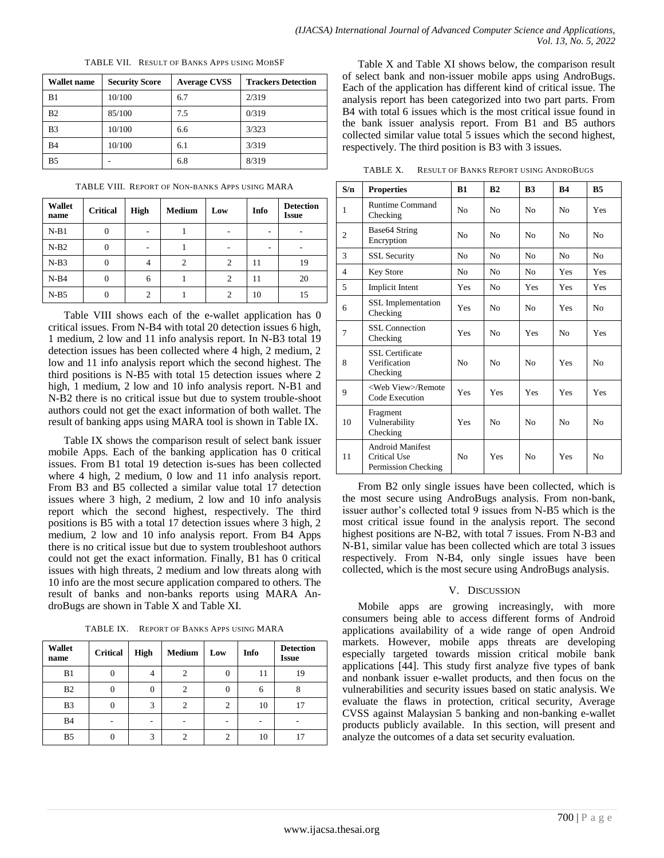TABLE VII. RESULT OF BANKS APPS USING MOBSF

| <b>Wallet name</b> | <b>Security Score</b> | <b>Average CVSS</b> | <b>Trackers Detection</b> |
|--------------------|-----------------------|---------------------|---------------------------|
| B1                 | 10/100                | 6.7                 | 2/319                     |
| B <sub>2</sub>     | 85/100                | 7.5                 | 0/319                     |
| B <sub>3</sub>     | 10/100                | 6.6                 | 3/323                     |
| <b>B4</b>          | 10/100                | 6.1                 | 3/319                     |
| B <sub>5</sub>     |                       | 6.8                 | 8/319                     |

TABLE VIII. REPORT OF NON-BANKS APPS USING MARA

| <b>Wallet</b><br>name | <b>Critical</b> | <b>High</b> | <b>Medium</b>  | Low            | Info | <b>Detection</b><br><b>Issue</b> |
|-----------------------|-----------------|-------------|----------------|----------------|------|----------------------------------|
| $N-B1$                | $\overline{0}$  | ۰           |                |                | ۰    |                                  |
| $N-B2$                | $\overline{0}$  | ۰           |                |                | ۰    | ٠                                |
| $N-B3$                | $\overline{0}$  |             | $\overline{c}$ | 2              | 11   | 19                               |
| $N-B4$                | $\theta$        | 6           |                | 2              | 11   | 20                               |
| $N-B5$                | $\Omega$        |             |                | $\mathfrak{D}$ | 10   | 15                               |

Table VIII shows each of the e-wallet application has 0 critical issues. From N-B4 with total 20 detection issues 6 high, 1 medium, 2 low and 11 info analysis report. In N-B3 total 19 detection issues has been collected where 4 high, 2 medium, 2 low and 11 info analysis report which the second highest. The third positions is N-B5 with total 15 detection issues where 2 high, 1 medium, 2 low and 10 info analysis report. N-B1 and N-B2 there is no critical issue but due to system trouble-shoot authors could not get the exact information of both wallet. The result of banking apps using MARA tool is shown in Table IX.

Table IX shows the comparison result of select bank issuer mobile Apps. Each of the banking application has 0 critical issues. From B1 total 19 detection is-sues has been collected where 4 high, 2 medium, 0 low and 11 info analysis report. From B3 and B5 collected a similar value total 17 detection issues where 3 high, 2 medium, 2 low and 10 info analysis report which the second highest, respectively. The third positions is B5 with a total 17 detection issues where 3 high, 2 medium, 2 low and 10 info analysis report. From B4 Apps there is no critical issue but due to system troubleshoot authors could not get the exact information. Finally, B1 has 0 critical issues with high threats, 2 medium and low threats along with 10 info are the most secure application compared to others. The result of banks and non-banks reports using MARA AndroBugs are shown in Table X and Table XI.

TABLE IX. REPORT OF BANKS APPS USING MARA

| <b>Wallet</b><br>name | <b>Critical</b> | <b>High</b> | <b>Medium</b> | Low            | Info | <b>Detection</b><br><b>Issue</b> |
|-----------------------|-----------------|-------------|---------------|----------------|------|----------------------------------|
| B <sub>1</sub>        | U               | 4           | 2             | $\Omega$       | 11   | 19                               |
| B <sub>2</sub>        |                 |             | 2             | $\theta$       | 6    |                                  |
| B <sub>3</sub>        |                 | 3           | 2             | $\overline{c}$ | 10   | 17                               |
| <b>B4</b>             |                 |             |               |                |      |                                  |
| B <sub>5</sub>        |                 | 3           |               |                | 10   |                                  |

Table X and Table XI shows below, the comparison result of select bank and non-issuer mobile apps using AndroBugs. Each of the application has different kind of critical issue. The analysis report has been categorized into two part parts. From B4 with total 6 issues which is the most critical issue found in the bank issuer analysis report. From B1 and B5 authors collected similar value total 5 issues which the second highest, respectively. The third position is B3 with 3 issues.

TABLE X. RESULT OF BANKS REPORT USING ANDROBUGS

| S/n            | <b>Properties</b>                                              | <b>B1</b>      | B <sub>2</sub> | B <sub>3</sub> | <b>B4</b>      | B <sub>5</sub> |
|----------------|----------------------------------------------------------------|----------------|----------------|----------------|----------------|----------------|
| 1              | <b>Runtime Command</b><br>Checking                             | N <sub>0</sub> | N <sub>0</sub> | N <sub>0</sub> | No             | Yes            |
| $\overline{2}$ | Base64 String<br>Encryption                                    | No             | N <sub>0</sub> | N <sub>0</sub> | No             | N <sub>0</sub> |
| 3              | <b>SSL Security</b>                                            | No             | N <sub>0</sub> | N <sub>0</sub> | N <sub>0</sub> | N <sub>0</sub> |
| $\overline{4}$ | <b>Key Store</b>                                               | No             | N <sub>0</sub> | N <sub>0</sub> | Yes            | <b>Yes</b>     |
| 5              | <b>Implicit Intent</b>                                         | Yes            | N <sub>0</sub> | Yes            | Yes            | <b>Yes</b>     |
| 6              | <b>SSL</b> Implementation<br>Checking                          | Yes            | N <sub>0</sub> | N <sub>0</sub> | <b>Yes</b>     | N <sub>0</sub> |
| 7              | <b>SSL</b> Connection<br>Checking                              | Yes            | No             | Yes            | N <sub>0</sub> | <b>Yes</b>     |
| 8              | <b>SSL</b> Certificate<br>Verification<br>Checking             | N <sub>0</sub> | No             | N <sub>0</sub> | Yes            | N <sub>0</sub> |
| 9              | <web view="">/Remote<br/>Code Execution</web>                  | Yes            | Yes            | Yes            | Yes            | <b>Yes</b>     |
| 10             | Fragment<br>Vulnerability<br>Checking                          | Yes            | N <sub>0</sub> | N <sub>0</sub> | N <sub>0</sub> | N <sub>0</sub> |
| 11             | <b>Android Manifest</b><br>Critical Use<br>Permission Checking | N <sub>0</sub> | Yes            | N <sub>0</sub> | Yes            | N <sub>0</sub> |

From B2 only single issues have been collected, which is the most secure using AndroBugs analysis. From non-bank, issuer author's collected total 9 issues from N-B5 which is the most critical issue found in the analysis report. The second highest positions are N-B2, with total 7 issues. From N-B3 and N-B1, similar value has been collected which are total 3 issues respectively. From N-B4, only single issues have been collected, which is the most secure using AndroBugs analysis.

# V. DISCUSSION

Mobile apps are growing increasingly, with more consumers being able to access different forms of Android applications availability of a wide range of open Android markets. However, mobile apps threats are developing especially targeted towards mission critical mobile bank applications [44]. This study first analyze five types of bank and nonbank issuer e-wallet products, and then focus on the vulnerabilities and security issues based on static analysis. We evaluate the flaws in protection, critical security, Average CVSS against Malaysian 5 banking and non-banking e-wallet products publicly available. In this section, will present and analyze the outcomes of a data set security evaluation.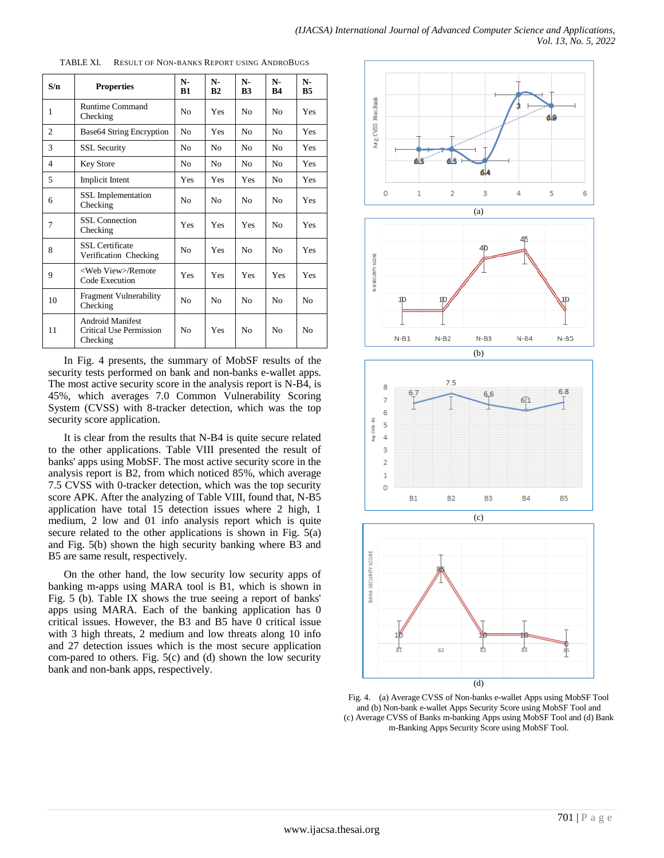| S/n            | <b>Properties</b>                                              | N-<br>B1       | N-<br>B <sub>2</sub> | $N-$<br>B <sub>3</sub> | $N-$<br><b>B4</b> | N-<br><b>B5</b> |
|----------------|----------------------------------------------------------------|----------------|----------------------|------------------------|-------------------|-----------------|
| 1              | <b>Runtime Command</b><br>Checking                             | N <sub>0</sub> | Yes                  | N <sub>0</sub>         | N <sub>0</sub>    | Yes             |
| $\overline{c}$ | Base64 String Encryption                                       | N <sub>o</sub> | Yes                  | N <sub>0</sub>         | No                | <b>Yes</b>      |
| 3              | <b>SSL Security</b>                                            | N <sub>0</sub> | No.                  | No                     | No                | Yes             |
| $\overline{4}$ | <b>Key Store</b>                                               | N <sub>0</sub> | N <sub>0</sub>       | No                     | No                | Yes             |
| 5              | <b>Implicit Intent</b>                                         | Yes            | Yes                  | Yes                    | No                | Yes             |
| 6              | <b>SSL</b> Implementation<br>Checking                          | N <sub>0</sub> | N <sub>0</sub>       | N <sub>0</sub>         | N <sub>0</sub>    | Yes             |
| 7              | SSL Connection<br>Checking                                     | Yes            | Yes                  | Yes                    | No                | Yes             |
| 8              | <b>SSL</b> Certificate<br>Verification Checking                | N <sub>0</sub> | Yes                  | N <sub>0</sub>         | N <sub>0</sub>    | Yes             |
| 9              | <web view="">/Remote<br/>Code Execution</web>                  | Yes            | Yes                  | Yes                    | Yes               | Yes             |
| 10             | <b>Fragment Vulnerability</b><br>Checking                      | N <sub>0</sub> | N <sub>0</sub>       | N <sub>0</sub>         | N <sub>0</sub>    | No              |
| 11             | <b>Android Manifest</b><br>Critical Use Permission<br>Checking | N <sub>0</sub> | Yes                  | N <sub>0</sub>         | N <sub>0</sub>    | No              |

TABLE XI. RESULT OF NON-BANKS REPORT USING ANDROBUGS

In Fig. 4 presents, the summary of MobSF results of the security tests performed on bank and non-banks e-wallet apps. The most active security score in the analysis report is N-B4, is 45%, which averages 7.0 Common Vulnerability Scoring System (CVSS) with 8-tracker detection, which was the top security score application.

It is clear from the results that N-B4 is quite secure related to the other applications. Table VIII presented the result of banks' apps using MobSF. The most active security score in the analysis report is B2, from which noticed 85%, which average 7.5 CVSS with 0-tracker detection, which was the top security score APK. After the analyzing of Table VIII, found that, N-B5 application have total 15 detection issues where 2 high, 1 medium, 2 low and 01 info analysis report which is quite secure related to the other applications is shown in Fig. 5(a) and Fig. 5(b) shown the high security banking where B3 and B5 are same result, respectively.

On the other hand, the low security low security apps of banking m-apps using MARA tool is B1, which is shown in Fig. 5 (b). Table IX shows the true seeing a report of banks' apps using MARA. Each of the banking application has 0 critical issues. However, the B3 and B5 have 0 critical issue with 3 high threats, 2 medium and low threats along 10 info and 27 detection issues which is the most secure application com-pared to others. Fig. 5(c) and (d) shown the low security bank and non-bank apps, respectively.



Fig. 4. (a) Average CVSS of Non-banks e-wallet Apps using MobSF Tool and (b) Non-bank e-wallet Apps Security Score using MobSF Tool and (c) Average CVSS of Banks m-banking Apps using MobSF Tool and (d) Bank m-Banking Apps Security Score using MobSF Tool.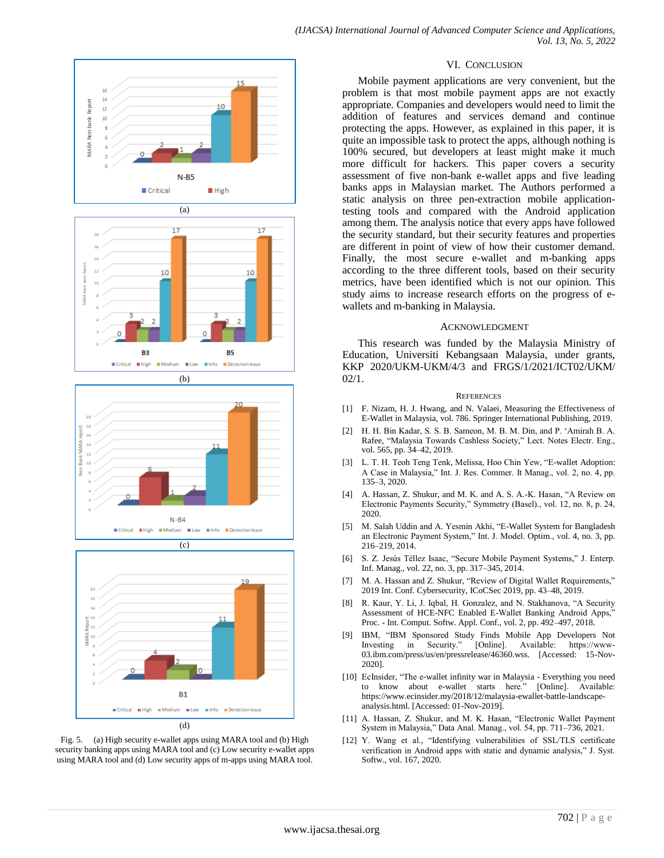

Fig. 5. (a) High security e-wallet apps using MARA tool and (b) High security banking apps using MARA tool and (c) Low security e-wallet apps using MARA tool and (d) Low security apps of m-apps using MARA tool.

#### VI. CONCLUSION

Mobile payment applications are very convenient, but the problem is that most mobile payment apps are not exactly appropriate. Companies and developers would need to limit the addition of features and services demand and continue protecting the apps. However, as explained in this paper, it is quite an impossible task to protect the apps, although nothing is 100% secured, but developers at least might make it much more difficult for hackers. This paper covers a security assessment of five non-bank e-wallet apps and five leading banks apps in Malaysian market. The Authors performed a static analysis on three pen-extraction mobile applicationtesting tools and compared with the Android application among them. The analysis notice that every apps have followed the security standard, but their security features and properties are different in point of view of how their customer demand. Finally, the most secure e-wallet and m-banking apps according to the three different tools, based on their security metrics, have been identified which is not our opinion. This study aims to increase research efforts on the progress of ewallets and m-banking in Malaysia.

#### ACKNOWLEDGMENT

This research was funded by the Malaysia Ministry of Education, Universiti Kebangsaan Malaysia, under grants, KKP 2020/UKM-UKM/4/3 and FRGS/1/2021/ICT02/UKM/  $02/1$ .

#### **REFERENCES**

- [1] F. Nizam, H. J. Hwang, and N. Valaei, Measuring the Effectiveness of E-Wallet in Malaysia, vol. 786. Springer International Publishing, 2019.
- [2] H. H. Bin Kadar, S. S. B. Sameon, M. B. M. Din, and P. ‗Amirah B. A. Rafee, "Malaysia Towards Cashless Society," Lect. Notes Electr. Eng., vol. 565, pp. 34–42, 2019.
- [3] L. T. H. Teoh Teng Tenk, Melissa, Hoo Chin Yew, "E-wallet Adoption: A Case in Malaysia," Int. J. Res. Commer. It Manag., vol. 2, no. 4, pp. 135–3, 2020.
- [4] A. Hassan, Z. Shukur, and M. K. and A. S. A.-K. Hasan, "A Review on Electronic Payments Security," Symmetry (Basel)., vol. 12, no. 8, p. 24, 2020.
- [5] M. Salah Uddin and A. Yesmin Akhi, "E-Wallet System for Bangladesh" an Electronic Payment System," Int. J. Model. Optim., vol. 4, no. 3, pp. 216–219, 2014.
- [6] S. Z. Jesús Téllez Isaac, "Secure Mobile Payment Systems," J. Enterp. Inf. Manag., vol. 22, no. 3, pp. 317–345, 2014.
- [7] M. A. Hassan and Z. Shukur, "Review of Digital Wallet Requirements," 2019 Int. Conf. Cybersecurity, ICoCSec 2019, pp. 43–48, 2019.
- [8] R. Kaur, Y. Li, J. Iqbal, H. Gonzalez, and N. Stakhanova, "A Security Assessment of HCE-NFC Enabled E-Wallet Banking Android Apps,' Proc. - Int. Comput. Softw. Appl. Conf., vol. 2, pp. 492–497, 2018.
- [9] IBM, "IBM Sponsored Study Finds Mobile App Developers Not Investing in Security." [Online]. Available: https://www-[Online]. Available: https://www-03.ibm.com/press/us/en/pressrelease/46360.wss. [Accessed: 15-Nov-2020].
- [10] EcInsider, "The e-wallet infinity war in Malaysia Everything you need to know about e-wallet starts here." [Online]. Available: https://www.ecinsider.my/2018/12/malaysia-ewallet-battle-landscapeanalysis.html. [Accessed: 01-Nov-2019].
- [11] A. Hassan, Z. Shukur, and M. K. Hasan, "Electronic Wallet Payment System in Malaysia," Data Anal. Manag., vol. 54, pp. 711-736, 2021.
- [12] Y. Wang et al., "Identifying vulnerabilities of SSL/TLS certificate verification in Android apps with static and dynamic analysis," J. Syst. Softw., vol. 167, 2020.